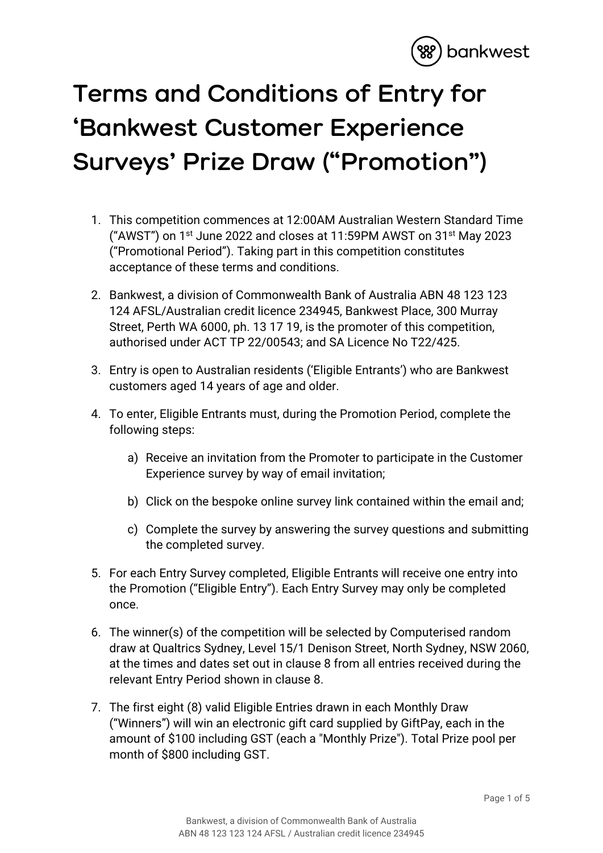

## **Terms and Conditions of Entry for 'Bankwest Customer Experience Surveys' Prize Draw ("Promotion")**

- 1. This competition commences at 12:00AM Australian Western Standard Time ("AWST") on 1st June 2022 and closes at 11:59PM AWST on 31st May 2023 ("Promotional Period"). Taking part in this competition constitutes acceptance of these terms and conditions.
- 2. Bankwest, a division of Commonwealth Bank of Australia ABN 48 123 123 124 AFSL/Australian credit licence 234945, Bankwest Place, 300 Murray Street, Perth WA 6000, ph. 13 17 19, is the promoter of this competition, authorised under ACT TP 22/00543; and SA Licence No T22/425.
- 3. Entry is open to Australian residents ('Eligible Entrants') who are Bankwest customers aged 14 years of age and older.
- 4. To enter, Eligible Entrants must, during the Promotion Period, complete the following steps:
	- a) Receive an invitation from the Promoter to participate in the Customer Experience survey by way of email invitation;
	- b) Click on the bespoke online survey link contained within the email and;
	- c) Complete the survey by answering the survey questions and submitting the completed survey.
- 5. For each Entry Survey completed, Eligible Entrants will receive one entry into the Promotion ("Eligible Entry"). Each Entry Survey may only be completed once.
- 6. The winner(s) of the competition will be selected by Computerised random draw at Qualtrics Sydney, Level 15/1 Denison Street, North Sydney, NSW 2060, at the times and dates set out in clause 8 from all entries received during the relevant Entry Period shown in clause 8.
- 7. The first eight (8) valid Eligible Entries drawn in each Monthly Draw ("Winners") will win an electronic gift card supplied by GiftPay, each in the amount of \$100 including GST (each a "Monthly Prize"). Total Prize pool per month of \$800 including GST.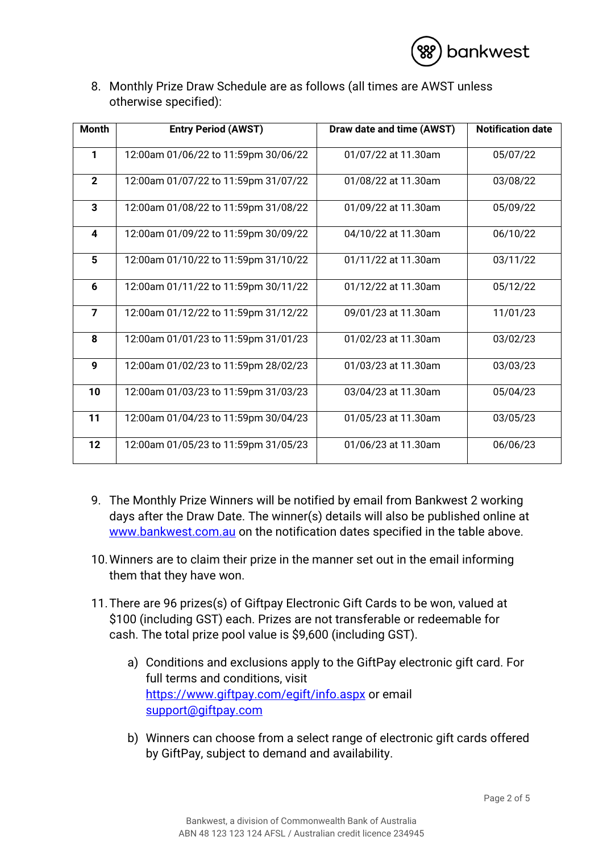

8. Monthly Prize Draw Schedule are as follows (all times are AWST unless otherwise specified):

| <b>Month</b>            | <b>Entry Period (AWST)</b>           | Draw date and time (AWST) | <b>Notification date</b> |
|-------------------------|--------------------------------------|---------------------------|--------------------------|
| 1                       | 12:00am 01/06/22 to 11:59pm 30/06/22 | 01/07/22 at 11.30am       | 05/07/22                 |
| $\mathbf{2}$            | 12:00am 01/07/22 to 11:59pm 31/07/22 | 01/08/22 at 11.30am       | 03/08/22                 |
| $\overline{\mathbf{3}}$ | 12:00am 01/08/22 to 11:59pm 31/08/22 | 01/09/22 at 11.30am       | 05/09/22                 |
| $\overline{\mathbf{4}}$ | 12:00am 01/09/22 to 11:59pm 30/09/22 | 04/10/22 at 11.30am       | 06/10/22                 |
| 5                       | 12:00am 01/10/22 to 11:59pm 31/10/22 | 01/11/22 at 11.30am       | 03/11/22                 |
| 6                       | 12:00am 01/11/22 to 11:59pm 30/11/22 | 01/12/22 at 11.30am       | 05/12/22                 |
| $\overline{7}$          | 12:00am 01/12/22 to 11:59pm 31/12/22 | 09/01/23 at 11.30am       | 11/01/23                 |
| 8                       | 12:00am 01/01/23 to 11:59pm 31/01/23 | 01/02/23 at 11.30am       | 03/02/23                 |
| 9                       | 12:00am 01/02/23 to 11:59pm 28/02/23 | 01/03/23 at 11.30am       | 03/03/23                 |
| 10                      | 12:00am 01/03/23 to 11:59pm 31/03/23 | 03/04/23 at 11.30am       | 05/04/23                 |
| 11                      | 12:00am 01/04/23 to 11:59pm 30/04/23 | 01/05/23 at 11.30am       | 03/05/23                 |
| 12                      | 12:00am 01/05/23 to 11:59pm 31/05/23 | 01/06/23 at 11.30am       | 06/06/23                 |

- 9. The Monthly Prize Winners will be notified by email from Bankwest 2 working days after the Draw Date. The winner(s) details will also be published online at [www.bankwest.com.au](http://www.bankwest.com.au/) on the notification dates specified in the table above.
- 10.Winners are to claim their prize in the manner set out in the email informing them that they have won.
- 11.There are 96 prizes(s) of Giftpay Electronic Gift Cards to be won, valued at \$100 (including GST) each. Prizes are not transferable or redeemable for cash. The total prize pool value is \$9,600 (including GST).
	- a) Conditions and exclusions apply to the GiftPay electronic gift card. For full terms and conditions, visit <https://www.giftpay.com/egift/info.aspx> or email [support@giftpay.com](mailto:support@giftpay.com)
	- b) Winners can choose from a select range of electronic gift cards offered by GiftPay, subject to demand and availability.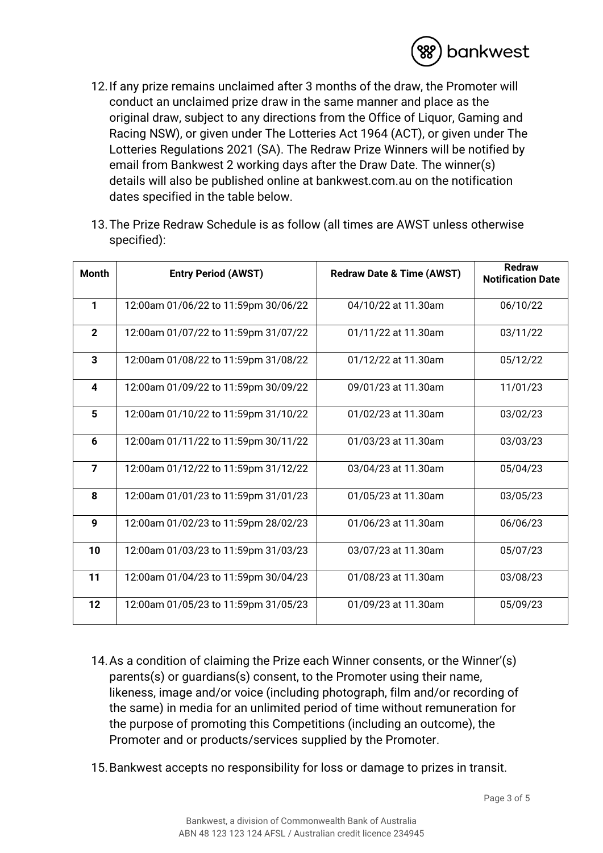

- 12.If any prize remains unclaimed after 3 months of the draw, the Promoter will conduct an unclaimed prize draw in the same manner and place as the original draw, subject to any directions from the Office of Liquor, Gaming and Racing NSW), or given under The Lotteries Act 1964 (ACT), or given under The Lotteries Regulations 2021 (SA). The Redraw Prize Winners will be notified by email from Bankwest 2 working days after the Draw Date. The winner(s) details will also be published online at bankwest.com.au on the notification dates specified in the table below.
- 13.The Prize Redraw Schedule is as follow (all times are AWST unless otherwise specified):

| <b>Month</b>            | <b>Entry Period (AWST)</b>           | <b>Redraw Date &amp; Time (AWST)</b> | <b>Redraw</b><br><b>Notification Date</b> |
|-------------------------|--------------------------------------|--------------------------------------|-------------------------------------------|
| 1                       | 12:00am 01/06/22 to 11:59pm 30/06/22 | 04/10/22 at 11.30am                  | 06/10/22                                  |
| $\overline{2}$          | 12:00am 01/07/22 to 11:59pm 31/07/22 | 01/11/22 at 11.30am                  | 03/11/22                                  |
| $\overline{\mathbf{3}}$ | 12:00am 01/08/22 to 11:59pm 31/08/22 | 01/12/22 at 11.30am                  | 05/12/22                                  |
| $\overline{\mathbf{4}}$ | 12:00am 01/09/22 to 11:59pm 30/09/22 | 09/01/23 at 11.30am                  | 11/01/23                                  |
| 5                       | 12:00am 01/10/22 to 11:59pm 31/10/22 | 01/02/23 at 11.30am                  | 03/02/23                                  |
| $6\phantom{1}$          | 12:00am 01/11/22 to 11:59pm 30/11/22 | 01/03/23 at 11.30am                  | 03/03/23                                  |
| $\overline{7}$          | 12:00am 01/12/22 to 11:59pm 31/12/22 | 03/04/23 at 11.30am                  | 05/04/23                                  |
| 8                       | 12:00am 01/01/23 to 11:59pm 31/01/23 | 01/05/23 at 11.30am                  | 03/05/23                                  |
| 9                       | 12:00am 01/02/23 to 11:59pm 28/02/23 | 01/06/23 at 11.30am                  | 06/06/23                                  |
| 10                      | 12:00am 01/03/23 to 11:59pm 31/03/23 | 03/07/23 at 11.30am                  | 05/07/23                                  |
| 11                      | 12:00am 01/04/23 to 11:59pm 30/04/23 | 01/08/23 at 11.30am                  | 03/08/23                                  |
| 12                      | 12:00am 01/05/23 to 11:59pm 31/05/23 | 01/09/23 at 11.30am                  | 05/09/23                                  |

- 14.As a condition of claiming the Prize each Winner consents, or the Winner'(s) parents(s) or guardians(s) consent, to the Promoter using their name, likeness, image and/or voice (including photograph, film and/or recording of the same) in media for an unlimited period of time without remuneration for the purpose of promoting this Competitions (including an outcome), the Promoter and or products/services supplied by the Promoter.
- 15.Bankwest accepts no responsibility for loss or damage to prizes in transit.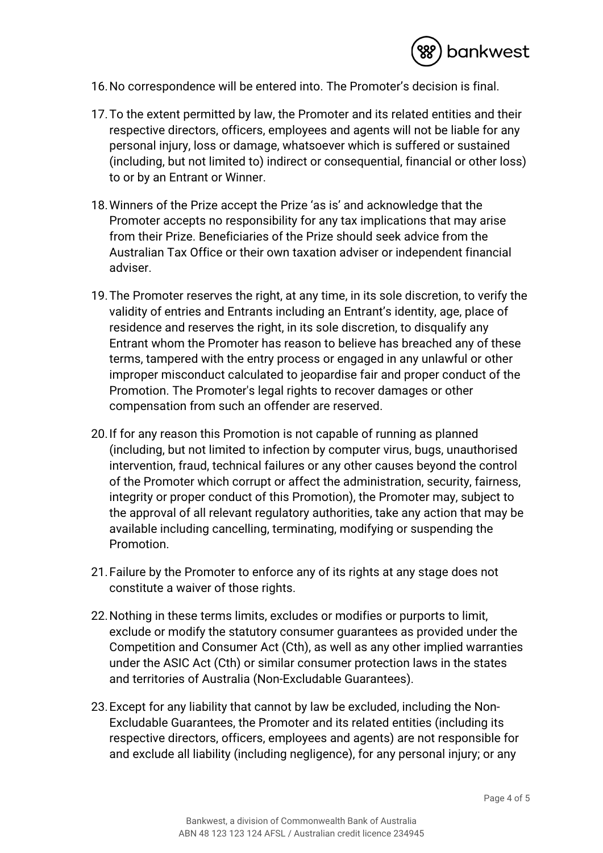

- 16.No correspondence will be entered into. The Promoter's decision is final.
- 17.To the extent permitted by law, the Promoter and its related entities and their respective directors, officers, employees and agents will not be liable for any personal injury, loss or damage, whatsoever which is suffered or sustained (including, but not limited to) indirect or consequential, financial or other loss) to or by an Entrant or Winner.
- 18.Winners of the Prize accept the Prize 'as is' and acknowledge that the Promoter accepts no responsibility for any tax implications that may arise from their Prize. Beneficiaries of the Prize should seek advice from the Australian Tax Office or their own taxation adviser or independent financial adviser.
- 19.The Promoter reserves the right, at any time, in its sole discretion, to verify the validity of entries and Entrants including an Entrant's identity, age, place of residence and reserves the right, in its sole discretion, to disqualify any Entrant whom the Promoter has reason to believe has breached any of these terms, tampered with the entry process or engaged in any unlawful or other improper misconduct calculated to jeopardise fair and proper conduct of the Promotion. The Promoter's legal rights to recover damages or other compensation from such an offender are reserved.
- 20.If for any reason this Promotion is not capable of running as planned (including, but not limited to infection by computer virus, bugs, unauthorised intervention, fraud, technical failures or any other causes beyond the control of the Promoter which corrupt or affect the administration, security, fairness, integrity or proper conduct of this Promotion), the Promoter may, subject to the approval of all relevant regulatory authorities, take any action that may be available including cancelling, terminating, modifying or suspending the Promotion.
- 21.Failure by the Promoter to enforce any of its rights at any stage does not constitute a waiver of those rights.
- 22.Nothing in these terms limits, excludes or modifies or purports to limit, exclude or modify the statutory consumer guarantees as provided under the Competition and Consumer Act (Cth), as well as any other implied warranties under the ASIC Act (Cth) or similar consumer protection laws in the states and territories of Australia (Non-Excludable Guarantees).
- 23.Except for any liability that cannot by law be excluded, including the Non-Excludable Guarantees, the Promoter and its related entities (including its respective directors, officers, employees and agents) are not responsible for and exclude all liability (including negligence), for any personal injury; or any